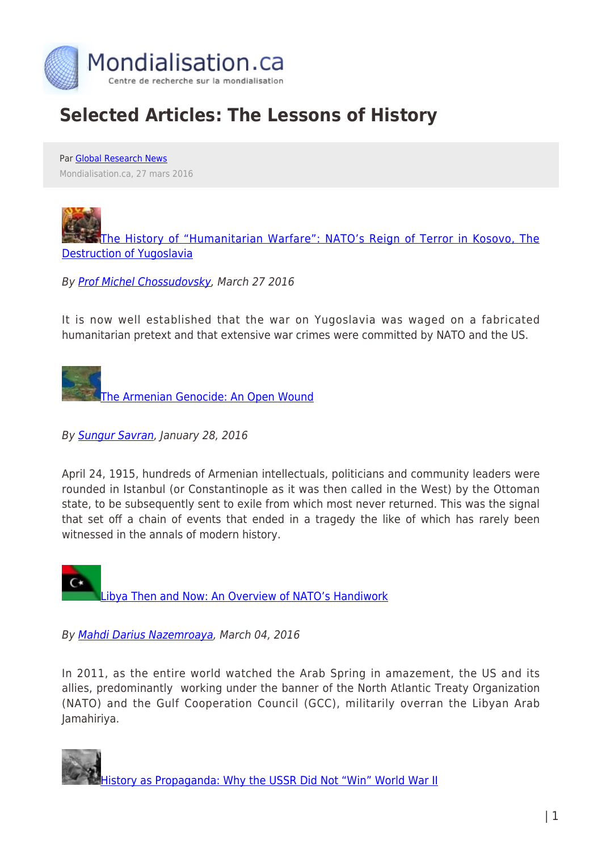

## **Selected Articles: The Lessons of History**

Par [Global Research News](https://www.mondialisation.ca/author/global-research-news) Mondialisation.ca, 27 mars 2016

[The History of "Humanitarian Warfare": NATO's Reign of Terror in Kosovo, The](http://www.globalresearch.ca/nato-s-reign-of-terror-in-kosovo/8168) [Destruction of Yugoslavia](http://www.globalresearch.ca/nato-s-reign-of-terror-in-kosovo/8168)

By [Prof Michel Chossudovsky,](http://www.globalresearch.ca/author/michel-chossudovsky) March 27 2016

It is now well established that the war on Yugoslavia was waged on a fabricated humanitarian pretext and that extensive war crimes were committed by NATO and the US.

[The Armenian Genocide: An Open Wound](http://www.globalresearch.ca/the-armenian-genocide-an-open-wound/5445094)

By **Sungur Savran**, January 28, 2016

April 24, 1915, hundreds of Armenian intellectuals, politicians and community leaders were rounded in Istanbul (or Constantinople as it was then called in the West) by the Ottoman state, to be subsequently sent to exile from which most never returned. This was the signal that set off a chain of events that ended in a tragedy the like of which has rarely been witnessed in the annals of modern history.

[Libya Then and Now: An Overview of NATO's Handiwork](http://www.globalresearch.ca/libya-then-and-now-an-overview-of-natos-handiwork/5415563)

By [Mahdi Darius Nazemroaya,](http://www.globalresearch.ca/author/mahdi-darius-nazemroaya) March 04, 2016

In 2011, as the entire world watched the Arab Spring in amazement, the US and its allies, predominantly working under the banner of the North Atlantic Treaty Organization (NATO) and the Gulf Cooperation Council (GCC), militarily overran the Libyan Arab Jamahiriya.

[History as Propaganda: Why the USSR Did Not "Win" World War II](http://www.globalresearch.ca/history-as-propaganda-why-the-ussr-did-not-win-world-war-ii/5516202)